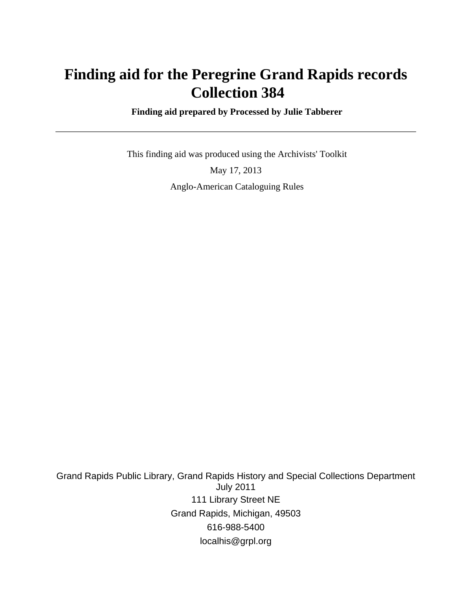# **Finding aid for the Peregrine Grand Rapids records Collection 384**

 **Finding aid prepared by Processed by Julie Tabberer**

 This finding aid was produced using the Archivists' Toolkit May 17, 2013 Anglo-American Cataloguing Rules

Grand Rapids Public Library, Grand Rapids History and Special Collections Department July 2011 111 Library Street NE Grand Rapids, Michigan, 49503 616-988-5400 localhis@grpl.org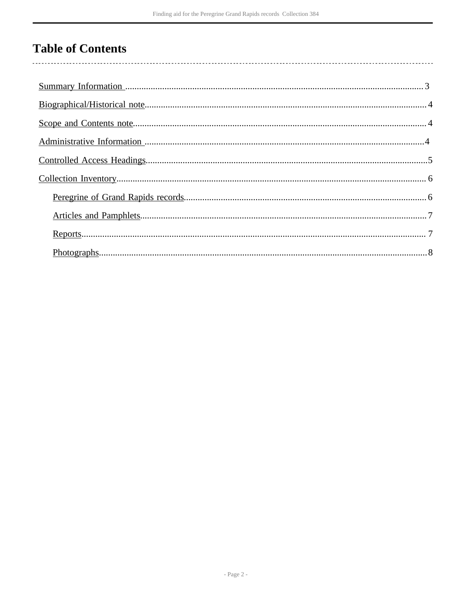# **Table of Contents**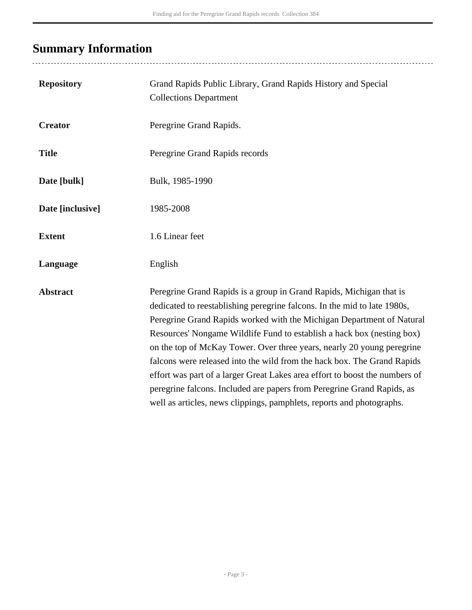# <span id="page-2-0"></span>**Summary Information**

..................................

| <b>Repository</b> | Grand Rapids Public Library, Grand Rapids History and Special<br><b>Collections Department</b>                                                                                                                                                                                                                                                                                                                                                                                                                                                                                                                                                                                            |
|-------------------|-------------------------------------------------------------------------------------------------------------------------------------------------------------------------------------------------------------------------------------------------------------------------------------------------------------------------------------------------------------------------------------------------------------------------------------------------------------------------------------------------------------------------------------------------------------------------------------------------------------------------------------------------------------------------------------------|
| <b>Creator</b>    | Peregrine Grand Rapids.                                                                                                                                                                                                                                                                                                                                                                                                                                                                                                                                                                                                                                                                   |
| <b>Title</b>      | Peregrine Grand Rapids records                                                                                                                                                                                                                                                                                                                                                                                                                                                                                                                                                                                                                                                            |
| Date [bulk]       | Bulk, 1985-1990                                                                                                                                                                                                                                                                                                                                                                                                                                                                                                                                                                                                                                                                           |
| Date [inclusive]  | 1985-2008                                                                                                                                                                                                                                                                                                                                                                                                                                                                                                                                                                                                                                                                                 |
| <b>Extent</b>     | 1.6 Linear feet                                                                                                                                                                                                                                                                                                                                                                                                                                                                                                                                                                                                                                                                           |
| Language          | English                                                                                                                                                                                                                                                                                                                                                                                                                                                                                                                                                                                                                                                                                   |
| <b>Abstract</b>   | Peregrine Grand Rapids is a group in Grand Rapids, Michigan that is<br>dedicated to reestablishing peregrine falcons. In the mid to late 1980s,<br>Peregrine Grand Rapids worked with the Michigan Department of Natural<br>Resources' Nongame Wildlife Fund to establish a hack box (nesting box)<br>on the top of McKay Tower. Over three years, nearly 20 young peregrine<br>falcons were released into the wild from the hack box. The Grand Rapids<br>effort was part of a larger Great Lakes area effort to boost the numbers of<br>peregrine falcons. Included are papers from Peregrine Grand Rapids, as<br>well as articles, news clippings, pamphlets, reports and photographs. |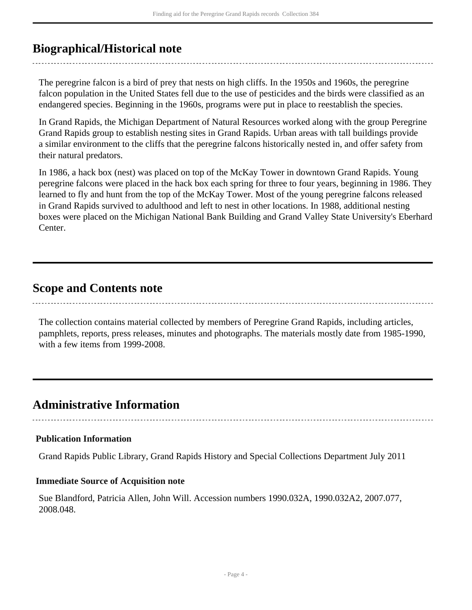# <span id="page-3-0"></span>**Biographical/Historical note**

The peregrine falcon is a bird of prey that nests on high cliffs. In the 1950s and 1960s, the peregrine falcon population in the United States fell due to the use of pesticides and the birds were classified as an endangered species. Beginning in the 1960s, programs were put in place to reestablish the species.

In Grand Rapids, the Michigan Department of Natural Resources worked along with the group Peregrine Grand Rapids group to establish nesting sites in Grand Rapids. Urban areas with tall buildings provide a similar environment to the cliffs that the peregrine falcons historically nested in, and offer safety from their natural predators.

In 1986, a hack box (nest) was placed on top of the McKay Tower in downtown Grand Rapids. Young peregrine falcons were placed in the hack box each spring for three to four years, beginning in 1986. They learned to fly and hunt from the top of the McKay Tower. Most of the young peregrine falcons released in Grand Rapids survived to adulthood and left to nest in other locations. In 1988, additional nesting boxes were placed on the Michigan National Bank Building and Grand Valley State University's Eberhard Center.

## <span id="page-3-1"></span>**Scope and Contents note**

The collection contains material collected by members of Peregrine Grand Rapids, including articles, pamphlets, reports, press releases, minutes and photographs. The materials mostly date from 1985-1990, with a few items from 1999-2008.

# <span id="page-3-2"></span>**Administrative Information**

#### **Publication Information**

Grand Rapids Public Library, Grand Rapids History and Special Collections Department July 2011

#### **Immediate Source of Acquisition note**

Sue Blandford, Patricia Allen, John Will. Accession numbers 1990.032A, 1990.032A2, 2007.077, 2008.048.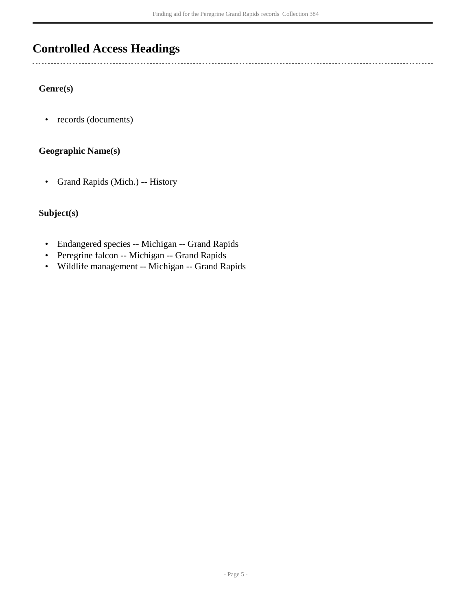# <span id="page-4-0"></span>**Controlled Access Headings**

### **Genre(s)**

 $\overline{a}$ 

• records (documents)

## **Geographic Name(s)**

• Grand Rapids (Mich.) -- History

## **Subject(s)**

- Endangered species -- Michigan -- Grand Rapids
- Peregrine falcon -- Michigan -- Grand Rapids
- Wildlife management -- Michigan -- Grand Rapids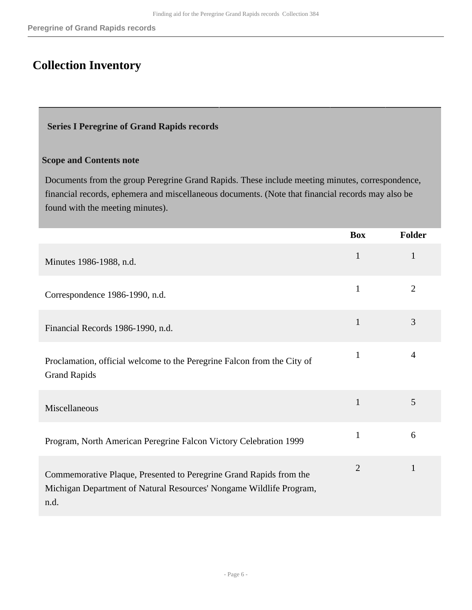# <span id="page-5-0"></span>**Collection Inventory**

#### <span id="page-5-1"></span> **Series I Peregrine of Grand Rapids records**

## **Scope and Contents note**

Documents from the group Peregrine Grand Rapids. These include meeting minutes, correspondence, financial records, ephemera and miscellaneous documents. (Note that financial records may also be found with the meeting minutes).

|                                                                                                                                                   | <b>Box</b>     | <b>Folder</b>  |
|---------------------------------------------------------------------------------------------------------------------------------------------------|----------------|----------------|
| Minutes 1986-1988, n.d.                                                                                                                           | $\mathbf{1}$   | $\mathbf{1}$   |
| Correspondence 1986-1990, n.d.                                                                                                                    | $\mathbf{1}$   | $\overline{2}$ |
| Financial Records 1986-1990, n.d.                                                                                                                 | $\mathbf{1}$   | 3              |
| Proclamation, official welcome to the Peregrine Falcon from the City of<br><b>Grand Rapids</b>                                                    | 1              | 4              |
| Miscellaneous                                                                                                                                     | $\mathbf{1}$   | 5              |
| Program, North American Peregrine Falcon Victory Celebration 1999                                                                                 | $\mathbf{1}$   | 6              |
| Commemorative Plaque, Presented to Peregrine Grand Rapids from the<br>Michigan Department of Natural Resources' Nongame Wildlife Program,<br>n.d. | $\overline{2}$ | $\mathbf{1}$   |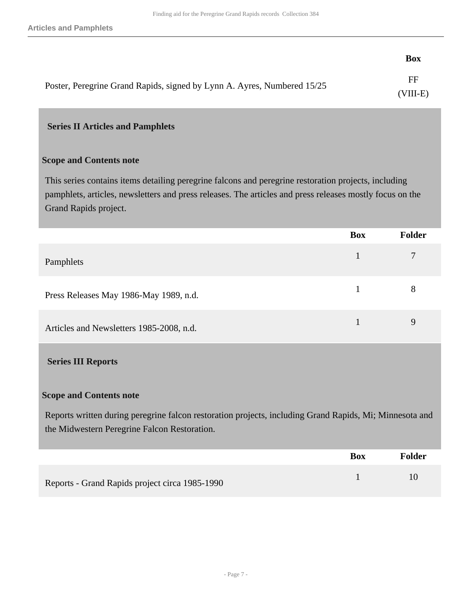|                                                                         | <b>Box</b>                |
|-------------------------------------------------------------------------|---------------------------|
| Poster, Peregrine Grand Rapids, signed by Lynn A. Ayres, Numbered 15/25 | $_{\rm FF}$<br>$(VIII-E)$ |

#### <span id="page-6-0"></span> **Series II Articles and Pamphlets**

#### **Scope and Contents note**

This series contains items detailing peregrine falcons and peregrine restoration projects, including pamphlets, articles, newsletters and press releases. The articles and press releases mostly focus on the Grand Rapids project.

<span id="page-6-1"></span>

|                                                                                                                                                         | <b>Box</b>   | <b>Folder</b>  |
|---------------------------------------------------------------------------------------------------------------------------------------------------------|--------------|----------------|
| Pamphlets                                                                                                                                               | $\mathbf{1}$ | $\overline{7}$ |
| Press Releases May 1986-May 1989, n.d.                                                                                                                  | $\mathbf{1}$ | 8              |
| Articles and Newsletters 1985-2008, n.d.                                                                                                                | $\mathbf{1}$ | 9              |
| <b>Series III Reports</b>                                                                                                                               |              |                |
| <b>Scope and Contents note</b>                                                                                                                          |              |                |
| Reports written during peregrine falcon restoration projects, including Grand Rapids, Mi; Minnesota and<br>the Midwestern Peregrine Falcon Restoration. |              |                |
|                                                                                                                                                         | <b>Box</b>   | <b>Folder</b>  |
| Reports - Grand Rapids project circa 1985-1990                                                                                                          | $\mathbf{1}$ | 10             |